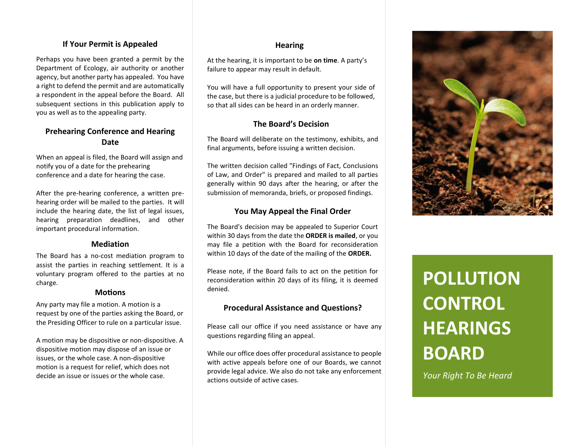## **If Your Permit is Appealed**

Perhaps you have been granted a permit by the Department of Ecology, air authority or another agency, but another party has appealed. You have a right to defend the permit and are automatically a respondent in the appeal before the Board. All subsequent sections in this publication apply to you as well as to the appealing party.

# **Prehearing Conference and Hearing Date**

When an appeal is filed, the Board will assign and notify you of a date for the prehearing conference and a date for hearing the case.

After the pre-hearing conference, a written prehearing order will be mailed to the parties. It will include the hearing date, the list of legal issues, hearing preparation deadlines, and other important procedural information.

### **Mediation**

The Board has a no-cost mediation program to assist the parties in reaching settlement. It is a voluntary program offered to the parties at no charge.

### **Motions**

Any party may file a motion. A motion is a request by one of the parties asking the Board, or the Presiding Officer to rule on a particular issue.

A motion may be dispositive or non-dispositive. A dispositive motion may dispose of an issue or issues, or the whole case. A non-dispositive motion is a request for relief, which does not decide an issue or issues or the whole case.

### **Hearing**

At the hearing, it is important to be **on time**. A party's failure to appear may result in default.

You will have a full opportunity to present your side of the case, but there is a judicial procedure to be followed, so that all sides can be heard in an orderly manner.

### **The Board's Decision**

The Board will deliberate on the testimony, exhibits, and final arguments, before issuing a written decision.

The written decision called "Findings of Fact, Conclusions of Law, and Order" is prepared and mailed to all parties generally within 90 days after the hearing, or after the submission of memoranda, briefs, or proposed findings.

### **You May Appeal the Final Order**

The Board's decision may be appealed to Superior Court within 30 days from the date the **ORDER is mailed**, or you may file a petition with the Board for reconsideration within 10 days of the date of the mailing of the **ORDER.** 

Please note, if the Board fails to act on the petition for reconsideration within 20 days of its filing, it is deemed denied.

### **Procedural Assistance and Questions?**

Please call our office if you need assistance or have any questions regarding filing an appeal.

While our office does offer procedural assistance to people with active appeals before one of our Boards, we cannot provide legal advice. We also do not take any enforcement actions outside of active cases.



# **POLLUTION CONTROL HEARINGS BOARD**

*Your Right To Be Heard*